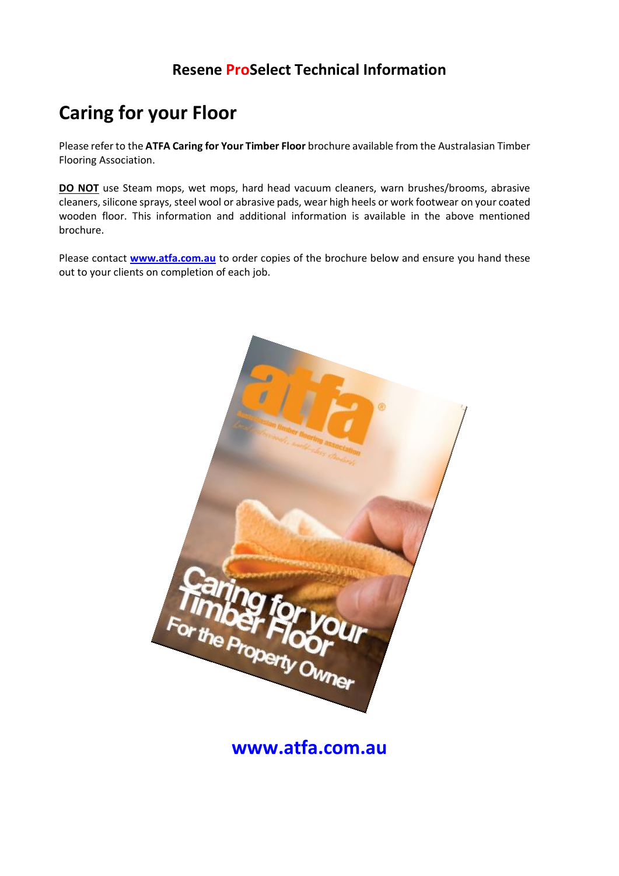### **Resene ProSelect Technical Information**

# **Caring for your Floor**

Please refer to the **ATFA Caring for Your Timber Floor** brochure available from the Australasian Timber Flooring Association.

**DO NOT** use Steam mops, wet mops, hard head vacuum cleaners, warn brushes/brooms, abrasive cleaners, silicone sprays, steel wool or abrasive pads, wear high heels or work footwear on your coated wooden floor. This information and additional information is available in the above mentioned brochure.

Please contact **[www.atfa.com.au](http://www.atfa.com.au/)** to order copies of the brochure below and ensure you hand these out to your clients on completion of each job.



**[www.atfa.com.au](http://www.atfa.com.au/)**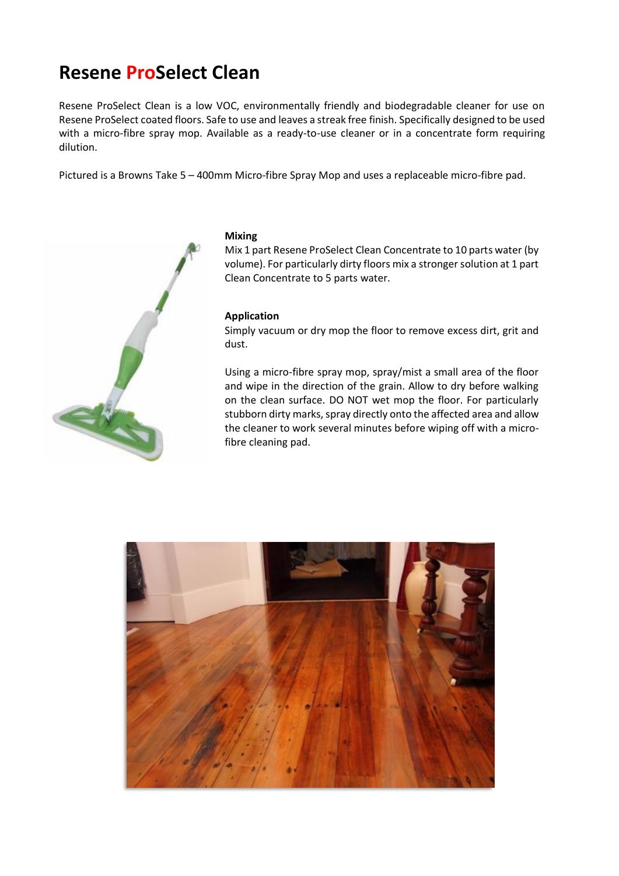## **Resene ProSelect Clean**

Resene ProSelect Clean is a low VOC, environmentally friendly and biodegradable cleaner for use on Resene ProSelect coated floors. Safe to use and leaves a streak free finish. Specifically designed to be used with a micro-fibre spray mop. Available as a ready-to-use cleaner or in a concentrate form requiring dilution.

Pictured is a Browns Take 5 – 400mm Micro-fibre Spray Mop and uses a replaceable micro-fibre pad.



#### **Mixing**

Mix 1 part Resene ProSelect Clean Concentrate to 10 parts water (by volume). For particularly dirty floors mix a stronger solution at 1 part Clean Concentrate to 5 parts water.

#### **Application**

Simply vacuum or dry mop the floor to remove excess dirt, grit and dust.

Using a micro-fibre spray mop, spray/mist a small area of the floor and wipe in the direction of the grain. Allow to dry before walking on the clean surface. DO NOT wet mop the floor. For particularly stubborn dirty marks, spray directly onto the affected area and allow the cleaner to work several minutes before wiping off with a microfibre cleaning pad.